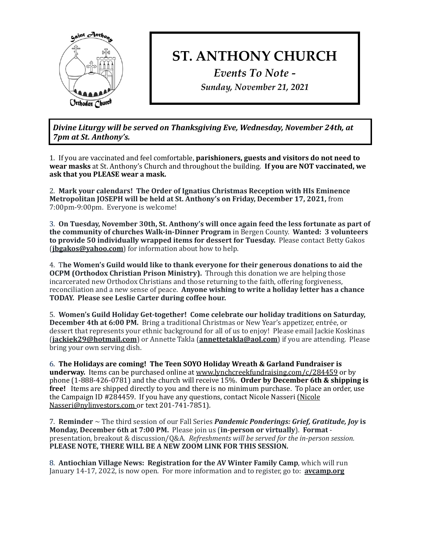

## **ST. ANTHONY CHURCH**

*Events To Note - Sunday, November 21, 2021*

Divine Liturgy will be served on Thanksgiving Eve, Wednesday, November 24th, at *7pm at St. Anthony's.* 

1. If you are vaccinated and feel comfortable, **parishioners, guests and visitors do not need to** wear masks at St. Anthony's Church and throughout the building. If you are NOT vaccinated, we ask that you PLEASE wear a mask.

2. Mark your calendars! The Order of Ignatius Christmas Reception with HIs Eminence **Metropolitan JOSEPH will be held at St. Anthony's on Friday, December 17, 2021, from** 7:00pm-9:00pm. Everyone is welcome!

3. On Tuesday, November 30th, St. Anthony's will once again feed the less fortunate as part of the community of churches Walk-in-Dinner Program in Bergen County. Wanted: 3 volunteers to provide 50 individually wrapped items for dessert for Tuesday. Please contact Betty Gakos **(ibgakos@yahoo.com)** for information about how to help.

4. The Women's Guild would like to thank everyone for their generous donations to aid the **OCPM** (Orthodox Christian Prison Ministry). Through this donation we are helping those incarcerated new Orthodox Christians and those returning to the faith, offering forgiveness, reconciliation and a new sense of peace. **Anyone wishing to write a holiday letter has a chance TODAY. Please see Leslie Carter during coffee hour.**

5. Women's Guild Holiday Get-together! Come celebrate our holiday traditions on Saturday, **December 4th at 6:00 PM.** Bring a traditional Christmas or New Year's appetizer, entrée, or dessert that represents your ethnic background for all of us to enjoy! Please email Jackie Koskinas **(iackiek29@hotmail.com)** or Annette Takla (**[annettetakla@aol.com](mailto:annettetakla@aol.com)**) if you are attending. Please bring your own serving dish.

6. The Holidays are coming! The Teen SOYO Holiday Wreath & Garland Fundraiser is **underway.** Items can be purchased online at www.lynchcreekfundraising.com/c/284459 or by phone (1-888-426-0781) and the church will receive 15%. Order by December 6th & shipping is **free!** Items are shipped directly to you and there is no minimum purchase. To place an order, use the Campaign ID #284459. If you have any questions, contact Nicole Nasseri (Nicole Nasseri@nylinvestors.com or text 201-741-7851).

7. **Reminder**  $\sim$  The third session of our Fall Series *Pandemic Ponderings: Grief, Gratitude, Joy* is **Monday, December 6th at 7:00 PM.** Please join us (in-person or virtually). Format presentation, breakout & discussion/Q&A. Refreshments will be served for the in-person session. PLEASE NOTE, THERE WILL BE A NEW ZOOM LINK FOR THIS SESSION.

8. **Antiochian Village News: Registration for the AV Winter Family Camp**, which will run January 14-17, 2022, is now open. For more information and to register, go to: **avcamp.org**